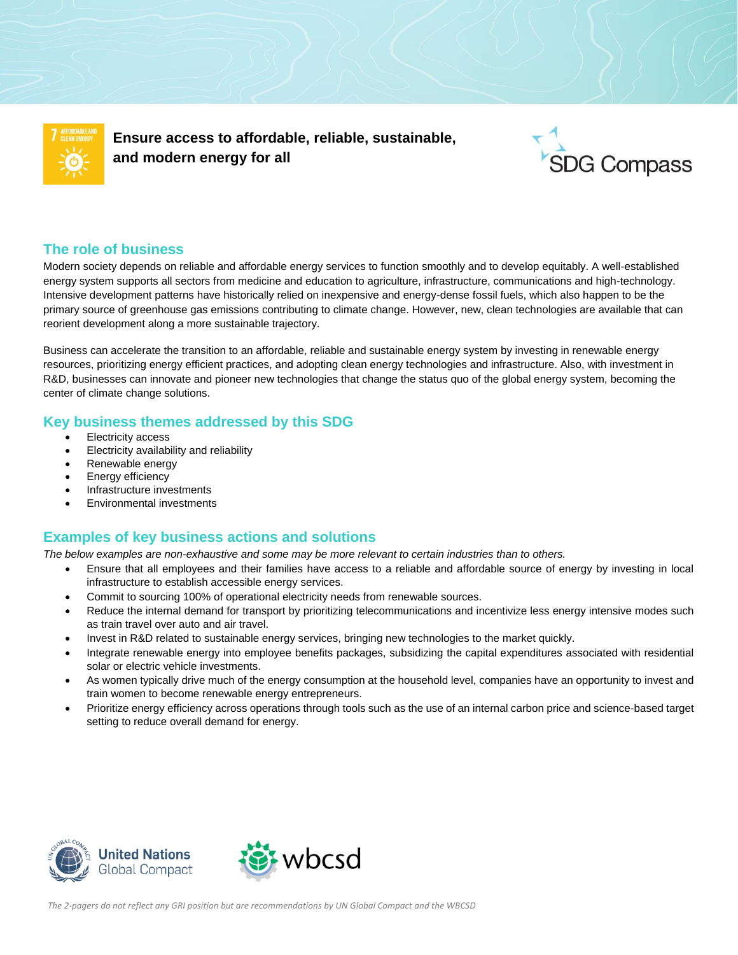

**Ensure access to affordable, reliable, sustainable, and modern energy for all**



### **The role of business**

Modern society depends on reliable and affordable energy services to function smoothly and to develop equitably. A well-established energy system supports all sectors from medicine and education to agriculture, infrastructure, communications and high-technology. Intensive development patterns have historically relied on inexpensive and energy-dense fossil fuels, which also happen to be the primary source of greenhouse gas emissions contributing to climate change. However, new, clean technologies are available that can reorient development along a more sustainable trajectory.

Business can accelerate the transition to an affordable, reliable and sustainable energy system by investing in renewable energy resources, prioritizing energy efficient practices, and adopting clean energy technologies and infrastructure. Also, with investment in R&D, businesses can innovate and pioneer new technologies that change the status quo of the global energy system, becoming the center of climate change solutions.

### **Key business themes addressed by this SDG**

- Electricity access
- Electricity availability and reliability
- Renewable energy
- Energy efficiency
- Infrastructure investments
- Environmental investments

# **Examples of key business actions and solutions**

*The below examples are non-exhaustive and some may be more relevant to certain industries than to others.*

- Ensure that all employees and their families have access to a reliable and affordable source of energy by investing in local infrastructure to establish accessible energy services.
- Commit to sourcing 100% of operational electricity needs from renewable sources.
- Reduce the internal demand for transport by prioritizing telecommunications and incentivize less energy intensive modes such as train travel over auto and air travel.
- Invest in R&D related to sustainable energy services, bringing new technologies to the market quickly.
- Integrate renewable energy into employee benefits packages, subsidizing the capital expenditures associated with residential solar or electric vehicle investments.
- As women typically drive much of the energy consumption at the household level, companies have an opportunity to invest and train women to become renewable energy entrepreneurs.
- Prioritize energy efficiency across operations through tools such as the use of an internal carbon price and science-based target setting to reduce overall demand for energy.





 *The 2-pagers do not reflect any GRI position but are recommendations by UN Global Compact and the WBCSD*